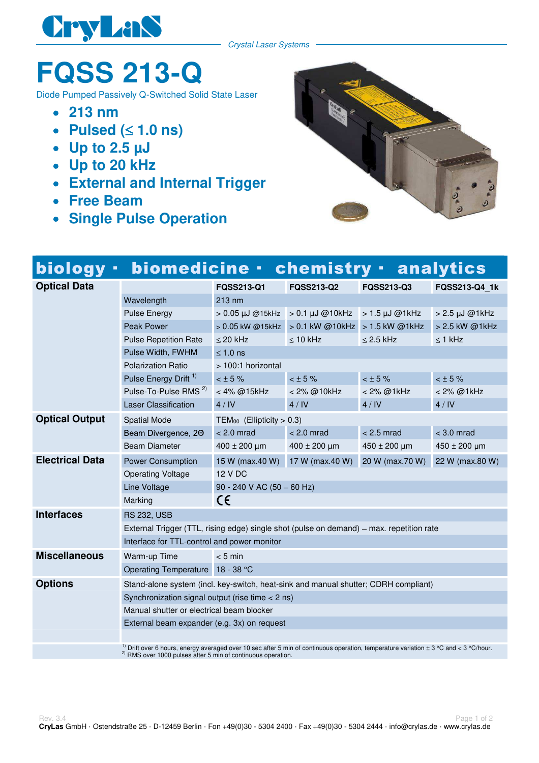

Crystal Laser Systems

## **FQSS 213-Q**

Diode Pumped Passively Q-Switched Solid State Laser

- **213 nm**
- **Pulsed (** $\leq$  **1.0 ns)**  $\bullet$
- **Up to 2.5 µJ**
- **Up to 20 kHz**
- **External and Internal Trigger**
- **Free Beam**
- **Single Pulse Operation**



| biology ·              | biomedicine · chemistry · analytics                                                                                                                  |                                          |                                      |                      |                  |
|------------------------|------------------------------------------------------------------------------------------------------------------------------------------------------|------------------------------------------|--------------------------------------|----------------------|------------------|
| <b>Optical Data</b>    |                                                                                                                                                      | FQSS213-Q1                               | <b>FQSS213-Q2</b>                    | <b>FQSS213-Q3</b>    | FQSS213-Q4 1k    |
|                        | Wavelength                                                                                                                                           | $213 \text{ nm}$                         |                                      |                      |                  |
|                        | <b>Pulse Energy</b>                                                                                                                                  |                                          | $> 0.05$ µJ @15kHz $> 0.1$ µJ @10kHz | $>1.5$ $\mu$ J @1kHz | > 2.5 µJ @1kHz   |
|                        | <b>Peak Power</b>                                                                                                                                    | > 0.05 kW @15kHz                         | > 0.1 kW @10kHz > 1.5 kW @1kHz       |                      | > 2.5 kW @1kHz   |
|                        | <b>Pulse Repetition Rate</b>                                                                                                                         | $\leq$ 20 kHz                            | $\leq 10$ kHz                        | $\leq$ 2.5 kHz       | $\leq$ 1 kHz     |
|                        | Pulse Width, FWHM                                                                                                                                    | $\leq 1.0$ ns                            |                                      |                      |                  |
|                        | <b>Polarization Ratio</b>                                                                                                                            | > 100:1 horizontal                       |                                      |                      |                  |
|                        | Pulse Energy Drift <sup>1)</sup>                                                                                                                     | $< 15 \%$                                | < 15%                                | < 15%                | $<$ $\pm$ 5 %    |
|                        | Pulse-To-Pulse RMS <sup>2)</sup>                                                                                                                     | < 4% @15kHz                              | < 2% @10kHz                          | < 2% @1kHz           | < 2% @1kHz       |
|                        | <b>Laser Classification</b>                                                                                                                          | 4/IV                                     | 4/IV                                 | 4/IV                 | 4/IV             |
| <b>Optical Output</b>  | <b>Spatial Mode</b>                                                                                                                                  | TEM <sub>00</sub> (Ellipticity $> 0.3$ ) |                                      |                      |                  |
|                        | Beam Divergence, 20                                                                                                                                  | $< 2.0$ mrad                             | $< 2.0$ mrad                         | $< 2.5$ mrad         | $<$ 3.0 mrad     |
|                        | <b>Beam Diameter</b>                                                                                                                                 | $400 \pm 200 \,\mu m$                    | $400 \pm 200$ µm                     | $450 \pm 200$ µm     | $450 \pm 200$ µm |
| <b>Electrical Data</b> | <b>Power Consumption</b>                                                                                                                             | 15 W (max.40 W)                          | 17 W (max.40 W)                      | 20 W (max.70 W)      | 22 W (max.80 W)  |
|                        | <b>Operating Voltage</b>                                                                                                                             | <b>12 V DC</b>                           |                                      |                      |                  |
|                        | Line Voltage                                                                                                                                         | 90 - 240 V AC (50 - 60 Hz)               |                                      |                      |                  |
|                        | Marking                                                                                                                                              | C€                                       |                                      |                      |                  |
| <b>Interfaces</b>      | <b>RS 232, USB</b>                                                                                                                                   |                                          |                                      |                      |                  |
|                        | External Trigger (TTL, rising edge) single shot (pulse on demand) - max. repetition rate                                                             |                                          |                                      |                      |                  |
|                        | Interface for TTL-control and power monitor                                                                                                          |                                          |                                      |                      |                  |
| <b>Miscellaneous</b>   | Warm-up Time                                                                                                                                         | $< 5$ min                                |                                      |                      |                  |
|                        | Operating Temperature 18 - 38 °C                                                                                                                     |                                          |                                      |                      |                  |
| <b>Options</b>         | Stand-alone system (incl. key-switch, heat-sink and manual shutter; CDRH compliant)                                                                  |                                          |                                      |                      |                  |
|                        | Synchronization signal output (rise time $<$ 2 ns)                                                                                                   |                                          |                                      |                      |                  |
|                        | Manual shutter or electrical beam blocker                                                                                                            |                                          |                                      |                      |                  |
|                        | External beam expander (e.g. 3x) on request                                                                                                          |                                          |                                      |                      |                  |
|                        |                                                                                                                                                      |                                          |                                      |                      |                  |
|                        | <sup>1)</sup> Drift over 6 hours, energy averaged over 10 sec after 5 min of continuous operation, temperature variation $\pm$ 3 °C and < 3 °C/hour. |                                          |                                      |                      |                  |

<sup>2)</sup> RMS over 1000 pulses after 5 min of continuous operation.